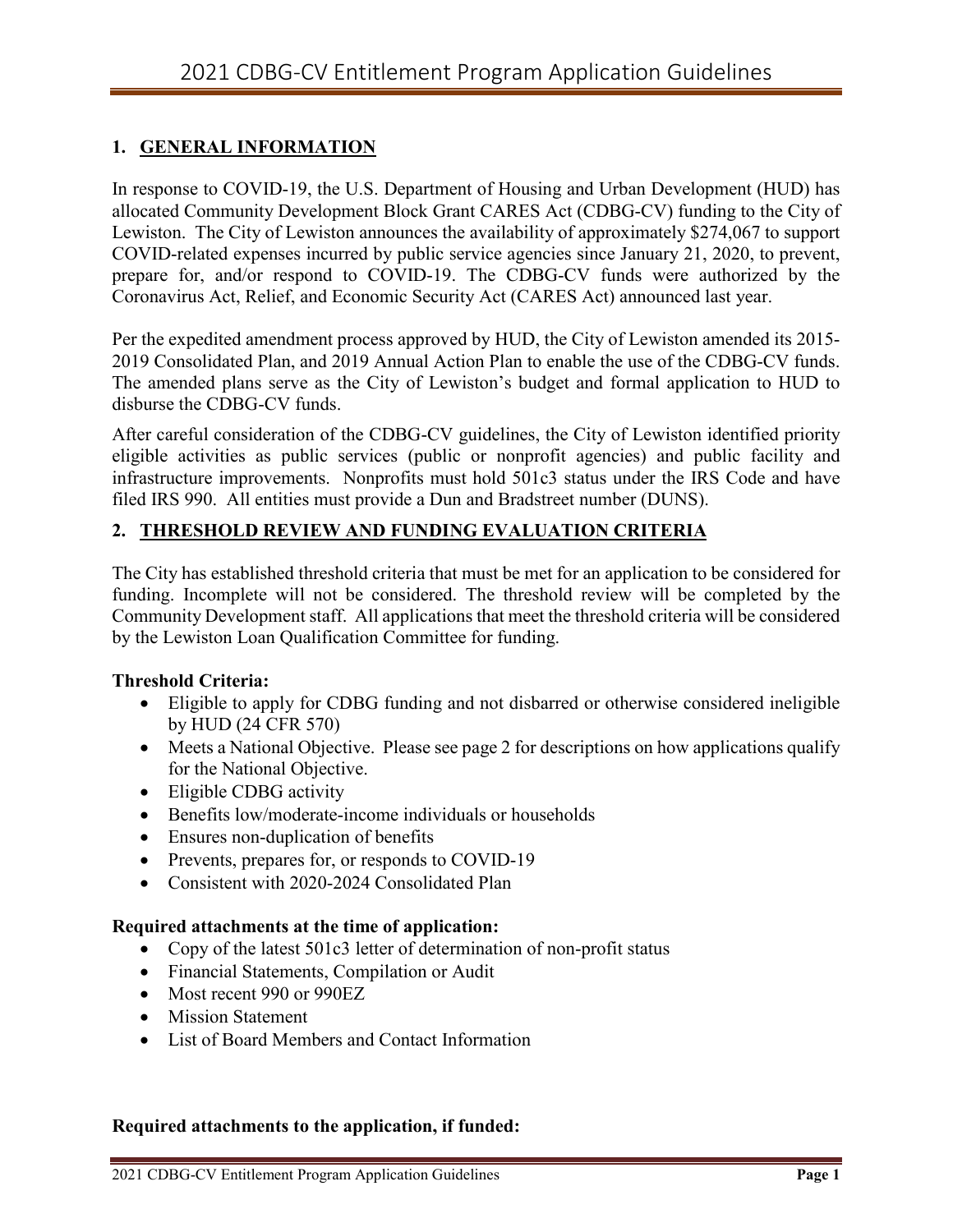## **1. GENERAL INFORMATION**

In response to COVID-19, the U.S. Department of Housing and Urban Development (HUD) has allocated Community Development Block Grant CARES Act (CDBG-CV) funding to the City of Lewiston. The City of Lewiston announces the availability of approximately \$274,067 to support COVID-related expenses incurred by public service agencies since January 21, 2020, to prevent, prepare for, and/or respond to COVID-19. The CDBG-CV funds were authorized by the Coronavirus Act, Relief, and Economic Security Act (CARES Act) announced last year.

Per the expedited amendment process approved by HUD, the City of Lewiston amended its 2015- 2019 Consolidated Plan, and 2019 Annual Action Plan to enable the use of the CDBG-CV funds. The amended plans serve as the City of Lewiston's budget and formal application to HUD to disburse the CDBG-CV funds.

After careful consideration of the CDBG-CV guidelines, the City of Lewiston identified priority eligible activities as public services (public or nonprofit agencies) and public facility and infrastructure improvements. Nonprofits must hold 501c3 status under the IRS Code and have filed IRS 990. All entities must provide a Dun and Bradstreet number (DUNS).

# **2. THRESHOLD REVIEW AND FUNDING EVALUATION CRITERIA**

The City has established threshold criteria that must be met for an application to be considered for funding. Incomplete will not be considered. The threshold review will be completed by the Community Development staff. All applications that meet the threshold criteria will be considered by the Lewiston Loan Qualification Committee for funding.

## **Threshold Criteria:**

- Eligible to apply for CDBG funding and not disbarred or otherwise considered ineligible by HUD (24 CFR 570)
- Meets a National Objective. Please see page 2 for descriptions on how applications qualify for the National Objective.
- Eligible CDBG activity
- Benefits low/moderate-income individuals or households
- Ensures non-duplication of benefits
- Prevents, prepares for, or responds to COVID-19
- Consistent with 2020-2024 Consolidated Plan

## **Required attachments at the time of application:**

- Copy of the latest 501c3 letter of determination of non-profit status
- Financial Statements, Compilation or Audit
- Most recent 990 or 990EZ
- Mission Statement
- List of Board Members and Contact Information

## **Required attachments to the application, if funded:**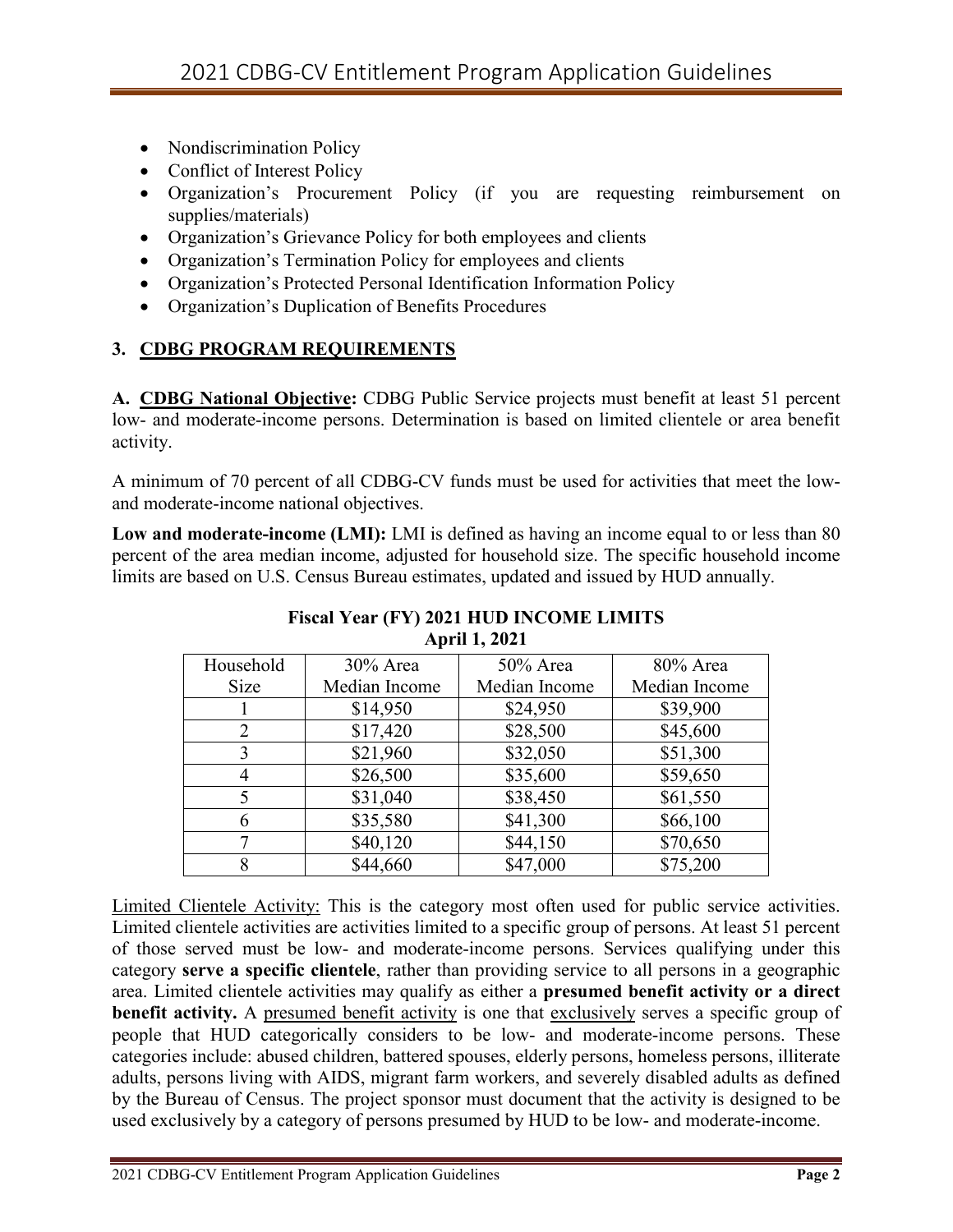- Nondiscrimination Policy
- Conflict of Interest Policy
- Organization's Procurement Policy (if you are requesting reimbursement on supplies/materials)
- Organization's Grievance Policy for both employees and clients
- Organization's Termination Policy for employees and clients
- Organization's Protected Personal Identification Information Policy
- Organization's Duplication of Benefits Procedures

# **3. CDBG PROGRAM REQUIREMENTS**

**A. CDBG National Objective:** CDBG Public Service projects must benefit at least 51 percent low- and moderate-income persons. Determination is based on limited clientele or area benefit activity.

A minimum of 70 percent of all CDBG-CV funds must be used for activities that meet the lowand moderate-income national objectives.

**Low and moderate-income (LMI):** LMI is defined as having an income equal to or less than 80 percent of the area median income, adjusted for household size. The specific household income limits are based on U.S. Census Bureau estimates, updated and issued by HUD annually.

| Household   | 30% Area      | $50\%$ Area   | 80% Area      |
|-------------|---------------|---------------|---------------|
| <b>Size</b> | Median Income | Median Income | Median Income |
|             | \$14,950      | \$24,950      | \$39,900      |
| 2           | \$17,420      | \$28,500      | \$45,600      |
| 3           | \$21,960      | \$32,050      | \$51,300      |
|             | \$26,500      | \$35,600      | \$59,650      |
|             | \$31,040      | \$38,450      | \$61,550      |
|             | \$35,580      | \$41,300      | \$66,100      |
|             | \$40,120      | \$44,150      | \$70,650      |
|             | \$44,660      | \$47,000      | \$75,200      |

## **Fiscal Year (FY) 2021 HUD INCOME LIMITS April 1, 2021**

Limited Clientele Activity: This is the category most often used for public service activities. Limited clientele activities are activities limited to a specific group of persons. At least 51 percent of those served must be low- and moderate-income persons. Services qualifying under this category **serve a specific clientele**, rather than providing service to all persons in a geographic area. Limited clientele activities may qualify as either a **presumed benefit activity or a direct benefit activity.** A presumed benefit activity is one that exclusively serves a specific group of people that HUD categorically considers to be low- and moderate-income persons. These categories include: abused children, battered spouses, elderly persons, homeless persons, illiterate adults, persons living with AIDS, migrant farm workers, and severely disabled adults as defined by the Bureau of Census. The project sponsor must document that the activity is designed to be used exclusively by a category of persons presumed by HUD to be low- and moderate-income.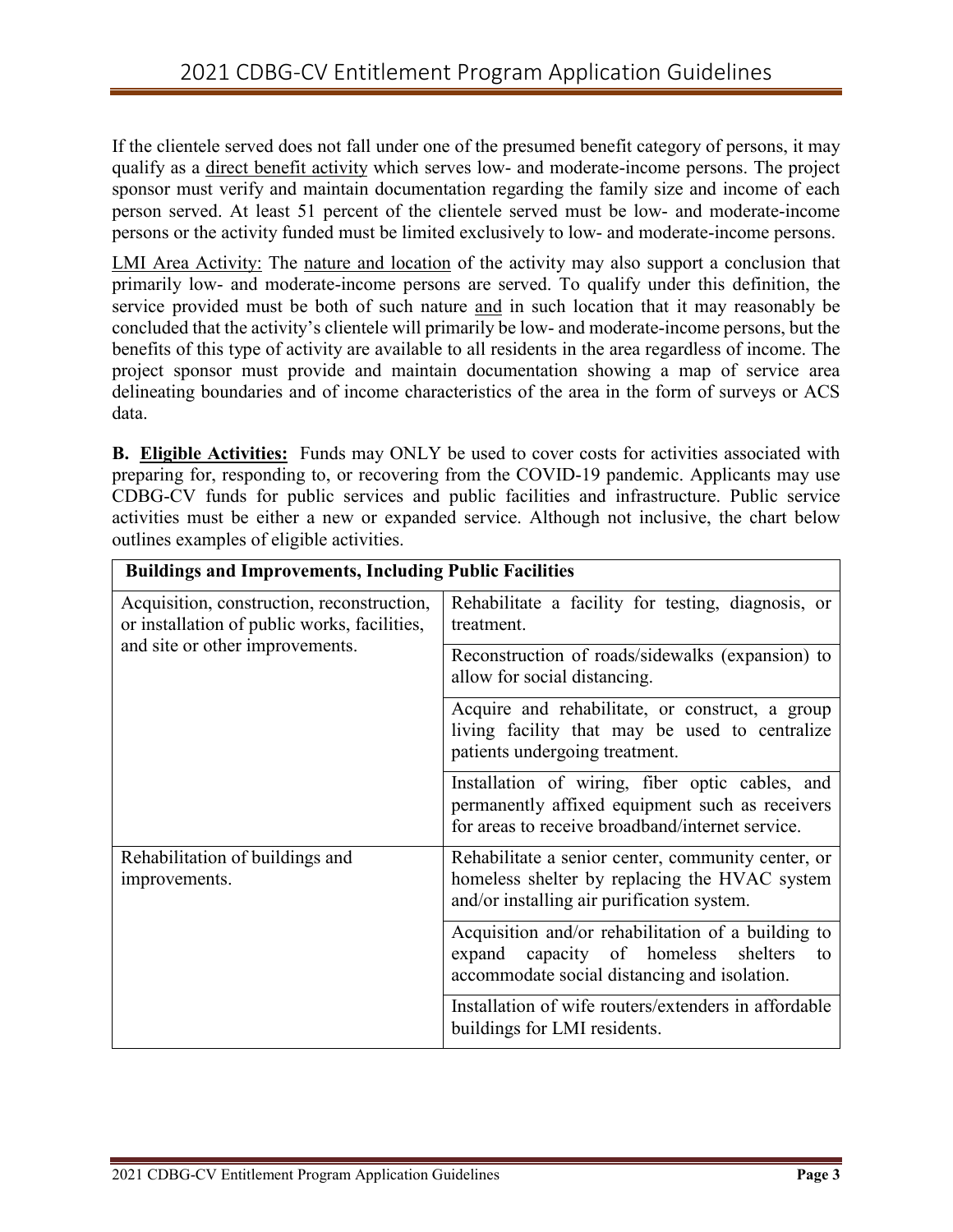If the clientele served does not fall under one of the presumed benefit category of persons, it may qualify as a direct benefit activity which serves low- and moderate-income persons. The project sponsor must verify and maintain documentation regarding the family size and income of each person served. At least 51 percent of the clientele served must be low- and moderate-income persons or the activity funded must be limited exclusively to low- and moderate-income persons.

LMI Area Activity: The nature and location of the activity may also support a conclusion that primarily low- and moderate-income persons are served. To qualify under this definition, the service provided must be both of such nature and in such location that it may reasonably be concluded that the activity's clientele will primarily be low- and moderate-income persons, but the benefits of this type of activity are available to all residents in the area regardless of income. The project sponsor must provide and maintain documentation showing a map of service area delineating boundaries and of income characteristics of the area in the form of surveys or ACS data.

**B. Eligible Activities:** Funds may ONLY be used to cover costs for activities associated with preparing for, responding to, or recovering from the COVID-19 pandemic. Applicants may use CDBG-CV funds for public services and public facilities and infrastructure. Public service activities must be either a new or expanded service. Although not inclusive, the chart below outlines examples of eligible activities.

| <b>Buildings and Improvements, Including Public Facilities</b>                                                                |                                                                                                                                                        |  |  |
|-------------------------------------------------------------------------------------------------------------------------------|--------------------------------------------------------------------------------------------------------------------------------------------------------|--|--|
| Acquisition, construction, reconstruction,<br>or installation of public works, facilities,<br>and site or other improvements. | Rehabilitate a facility for testing, diagnosis, or<br>treatment.                                                                                       |  |  |
|                                                                                                                               | Reconstruction of roads/sidewalks (expansion) to<br>allow for social distancing.                                                                       |  |  |
|                                                                                                                               | Acquire and rehabilitate, or construct, a group<br>living facility that may be used to centralize<br>patients undergoing treatment.                    |  |  |
|                                                                                                                               | Installation of wiring, fiber optic cables, and<br>permanently affixed equipment such as receivers<br>for areas to receive broadband/internet service. |  |  |
| Rehabilitation of buildings and<br>improvements.                                                                              | Rehabilitate a senior center, community center, or<br>homeless shelter by replacing the HVAC system<br>and/or installing air purification system.      |  |  |
|                                                                                                                               | Acquisition and/or rehabilitation of a building to<br>capacity of homeless shelters<br>expand<br>to<br>accommodate social distancing and isolation.    |  |  |
|                                                                                                                               | Installation of wife routers/extenders in affordable<br>buildings for LMI residents.                                                                   |  |  |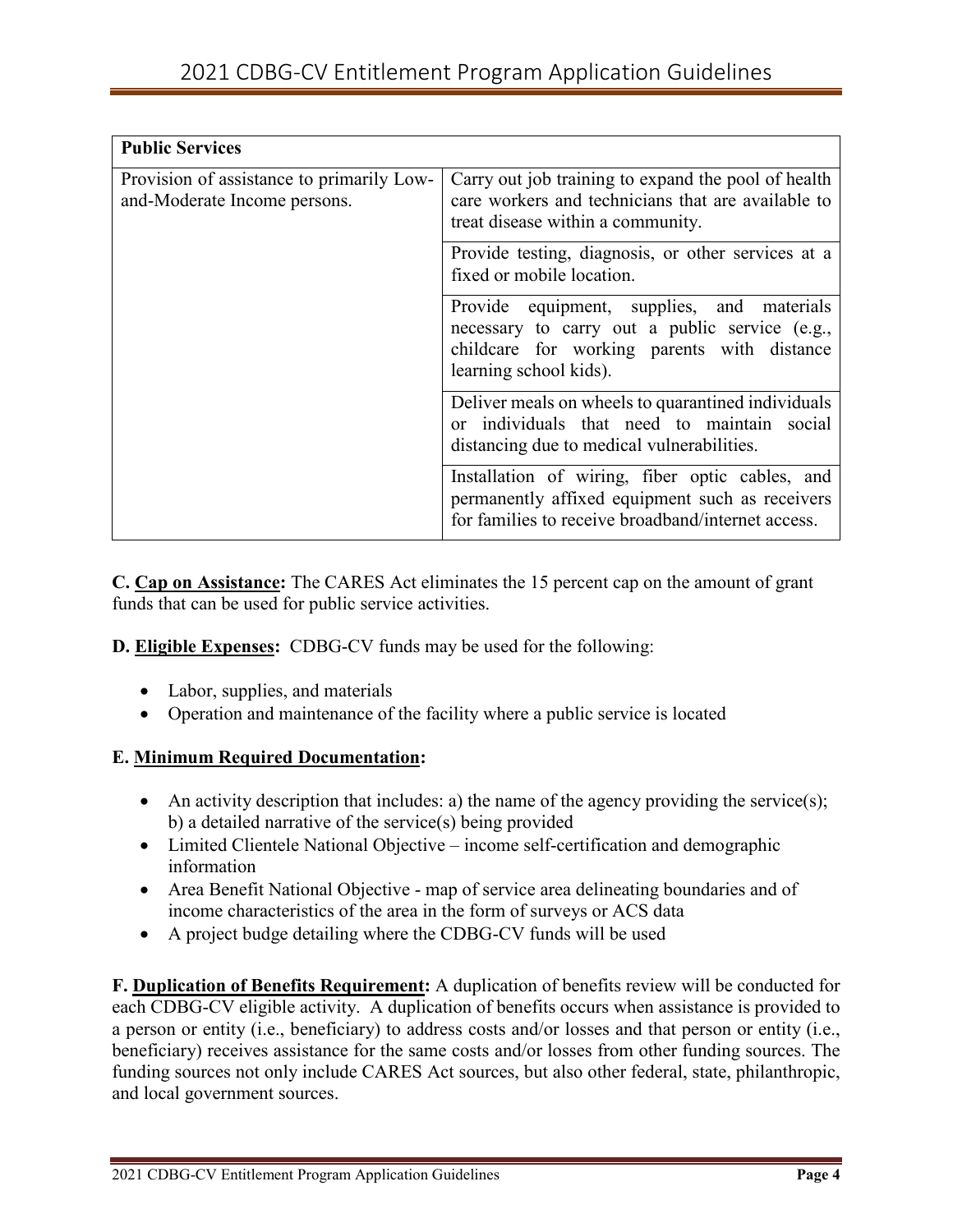| <b>Public Services</b>                                                    |                                                                                                                                                                       |  |  |
|---------------------------------------------------------------------------|-----------------------------------------------------------------------------------------------------------------------------------------------------------------------|--|--|
| Provision of assistance to primarily Low-<br>and-Moderate Income persons. | Carry out job training to expand the pool of health<br>care workers and technicians that are available to<br>treat disease within a community.                        |  |  |
|                                                                           | Provide testing, diagnosis, or other services at a<br>fixed or mobile location.                                                                                       |  |  |
|                                                                           | Provide equipment, supplies, and materials<br>necessary to carry out a public service (e.g.,<br>childcare for working parents with distance<br>learning school kids). |  |  |
|                                                                           | Deliver meals on wheels to quarantined individuals<br>or individuals that need to maintain social<br>distancing due to medical vulnerabilities.                       |  |  |
|                                                                           | Installation of wiring, fiber optic cables, and<br>permanently affixed equipment such as receivers<br>for families to receive broadband/internet access.              |  |  |

**C. Cap on Assistance:** The CARES Act eliminates the 15 percent cap on the amount of grant funds that can be used for public service activities.

**D. Eligible Expenses:** CDBG-CV funds may be used for the following:

- Labor, supplies, and materials
- Operation and maintenance of the facility where a public service is located

## **E. Minimum Required Documentation:**

- An activity description that includes: a) the name of the agency providing the service(s); b) a detailed narrative of the service(s) being provided
- Limited Clientele National Objective income self-certification and demographic information
- Area Benefit National Objective map of service area delineating boundaries and of income characteristics of the area in the form of surveys or ACS data
- A project budge detailing where the CDBG-CV funds will be used

**F. Duplication of Benefits Requirement:** A duplication of benefits review will be conducted for each CDBG-CV eligible activity. A duplication of benefits occurs when assistance is provided to a person or entity (i.e., beneficiary) to address costs and/or losses and that person or entity (i.e., beneficiary) receives assistance for the same costs and/or losses from other funding sources. The funding sources not only include CARES Act sources, but also other federal, state, philanthropic, and local government sources.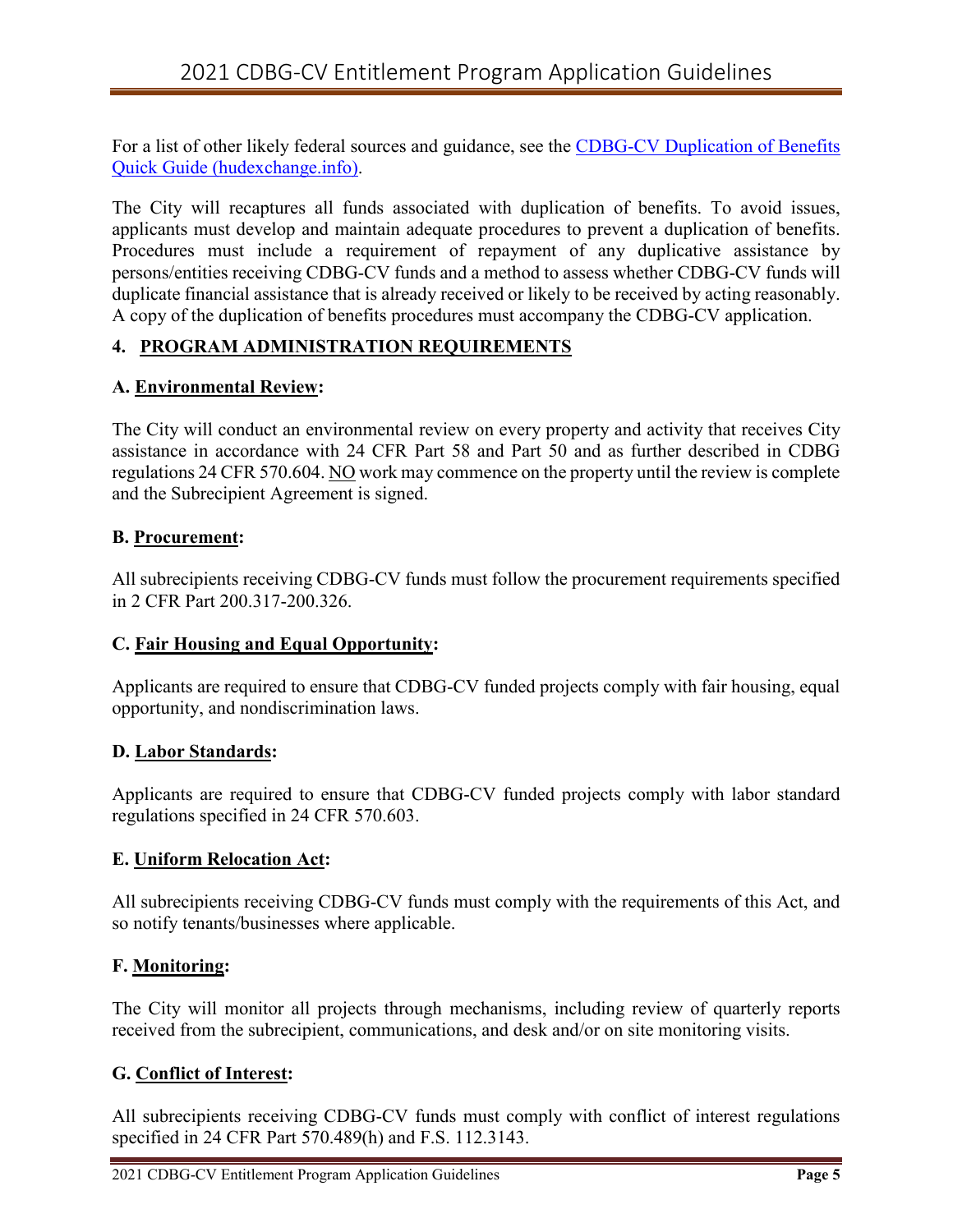For a list of other likely federal sources and guidance, see the [CDBG-CV Duplication of Benefits](https://files.hudexchange.info/resources/documents/CDBG-CV-Duplication-of-Benefits-Quick-Guide.pdf)  [Quick Guide \(hudexchange.info\).](https://files.hudexchange.info/resources/documents/CDBG-CV-Duplication-of-Benefits-Quick-Guide.pdf)

The City will recaptures all funds associated with duplication of benefits. To avoid issues, applicants must develop and maintain adequate procedures to prevent a duplication of benefits. Procedures must include a requirement of repayment of any duplicative assistance by persons/entities receiving CDBG-CV funds and a method to assess whether CDBG-CV funds will duplicate financial assistance that is already received or likely to be received by acting reasonably. A copy of the duplication of benefits procedures must accompany the CDBG-CV application.

# **4. PROGRAM ADMINISTRATION REQUIREMENTS**

## **A. Environmental Review:**

The City will conduct an environmental review on every property and activity that receives City assistance in accordance with 24 CFR Part 58 and Part 50 and as further described in CDBG regulations 24 CFR 570.604. NO work may commence on the property until the review is complete and the Subrecipient Agreement is signed.

## **B. Procurement:**

All subrecipients receiving CDBG-CV funds must follow the procurement requirements specified in 2 CFR Part 200.317-200.326.

## **C. Fair Housing and Equal Opportunity:**

Applicants are required to ensure that CDBG-CV funded projects comply with fair housing, equal opportunity, and nondiscrimination laws.

## **D. Labor Standards:**

Applicants are required to ensure that CDBG-CV funded projects comply with labor standard regulations specified in 24 CFR 570.603.

## **E. Uniform Relocation Act:**

All subrecipients receiving CDBG-CV funds must comply with the requirements of this Act, and so notify tenants/businesses where applicable.

## **F. Monitoring:**

The City will monitor all projects through mechanisms, including review of quarterly reports received from the subrecipient, communications, and desk and/or on site monitoring visits.

## **G. Conflict of Interest:**

All subrecipients receiving CDBG-CV funds must comply with conflict of interest regulations specified in 24 CFR Part 570.489(h) and F.S. 112.3143.